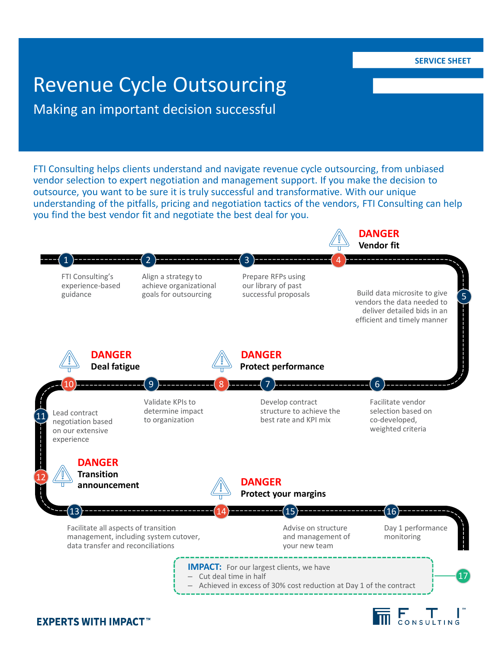**SERVICE SHEET**

# Revenue Cycle Outsourcing

Making an important decision successful

FTI Consulting helps clients understand and navigate revenue cycle outsourcing, from unbiased vendor selection to expert negotiation and management support. If you make the decision to outsource, you want to be sure it is truly successful and transformative. With our unique understanding of the pitfalls, pricing and negotiation tactics of the vendors, FTI Consulting can help you find the best vendor fit and negotiate the best deal for you.



## **EXPERTS WITH IMPACT™**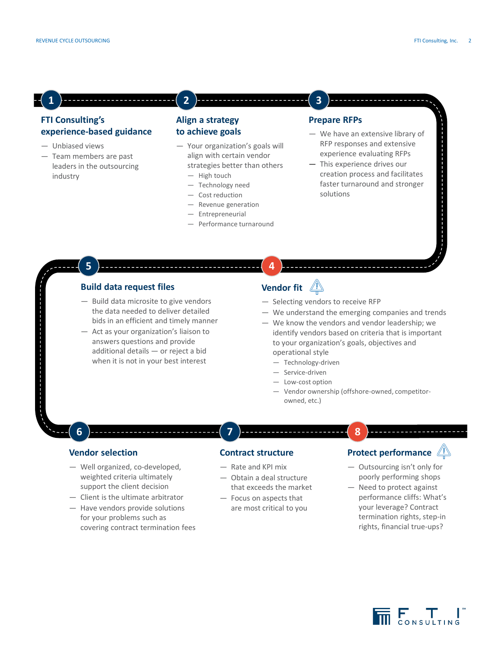**1**

#### **FTI Consulting's experience-based guidance**

- ― Unbiased views
- ― Team members are past leaders in the outsourcing industry

**5**

#### **Align a strategy to achieve goals**

**2**

- ― Your organization's goals will align with certain vendor strategies better than others
	- ― High touch
	- ― Technology need
	- ― Cost reduction
	- ― Revenue generation
	- ― Entrepreneurial
	- ― Performance turnaround

#### **Prepare RFPs**

**3**

- ― We have an extensive library of RFP responses and extensive experience evaluating RFPs
- ― This experience drives our creation process and facilitates faster turnaround and stronger solutions

#### **Build data request files**

- ― Build data microsite to give vendors the data needed to deliver detailed bids in an efficient and timely manner
- ― Act as your organization's liaison to answers questions and provide additional details — or reject a bid when it is not in your best interest

# **Vendor fit**

**4**

- ― Selecting vendors to receive RFP
- ― We understand the emerging companies and trends
- ― We know the vendors and vendor leadership; we identify vendors based on criteria that is important to your organization's goals, objectives and operational style
	- ― Technology-driven
	- ― Service-driven
	- ― Low-cost option
	- ― Vendor ownership (offshore-owned, competitorowned, etc.)

**8**

#### **Vendor selection**

**6**

- ― Well organized, co-developed, weighted criteria ultimately support the client decision
- ― Client is the ultimate arbitrator
- ― Have vendors provide solutions for your problems such as covering contract termination fees

#### **Contract structure**

― Rate and KPI mix

**7**

- ― Obtain a deal structure that exceeds the market
- ― Focus on aspects that are most critical to you

### **Protect performance**

- ― Outsourcing isn't only for poorly performing shops
- ― Need to protect against performance cliffs: What's your leverage? Contract termination rights, step-in rights, financial true-ups?